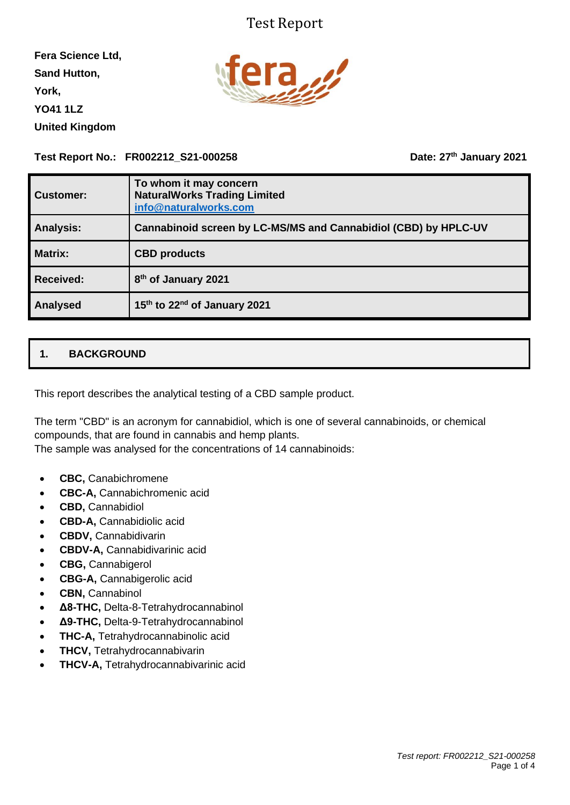## Test Report

**Fera Science Ltd, Sand Hutton, York, YO41 1LZ United Kingdom**



**Test Report No.: FR002212\_S21-000258** 

**th January 2021**

| <b>Customer:</b> | To whom it may concern<br><b>NaturalWorks Trading Limited</b><br>info@naturalworks.com |
|------------------|----------------------------------------------------------------------------------------|
| <b>Analysis:</b> | Cannabinoid screen by LC-MS/MS and Cannabidiol (CBD) by HPLC-UV                        |
| <b>Matrix:</b>   | <b>CBD</b> products                                                                    |
| <b>Received:</b> | 8 <sup>th</sup> of January 2021                                                        |
| <b>Analysed</b>  | 15th to 22nd of January 2021                                                           |

## **1. BACKGROUND**

This report describes the analytical testing of a CBD sample product.

The term "CBD" is an acronym for cannabidiol, which is one of several cannabinoids, or chemical compounds, that are found in cannabis and hemp plants.

The sample was analysed for the concentrations of 14 cannabinoids:

- **CBC,** Canabichromene
- **CBC-A,** Cannabichromenic acid
- **CBD,** Cannabidiol
- **CBD-A,** Cannabidiolic acid
- **CBDV,** Cannabidivarin
- **CBDV-A,** Cannabidivarinic acid
- **CBG,** Cannabigerol
- **CBG-A,** Cannabigerolic acid
- **CBN,** Cannabinol
- **Δ8-THC,** Delta-8-Tetrahydrocannabinol
- **Δ9-THC,** Delta-9-Tetrahydrocannabinol
- **THC-A,** Tetrahydrocannabinolic acid
- **THCV,** Tetrahydrocannabivarin
- **THCV-A,** Tetrahydrocannabivarinic acid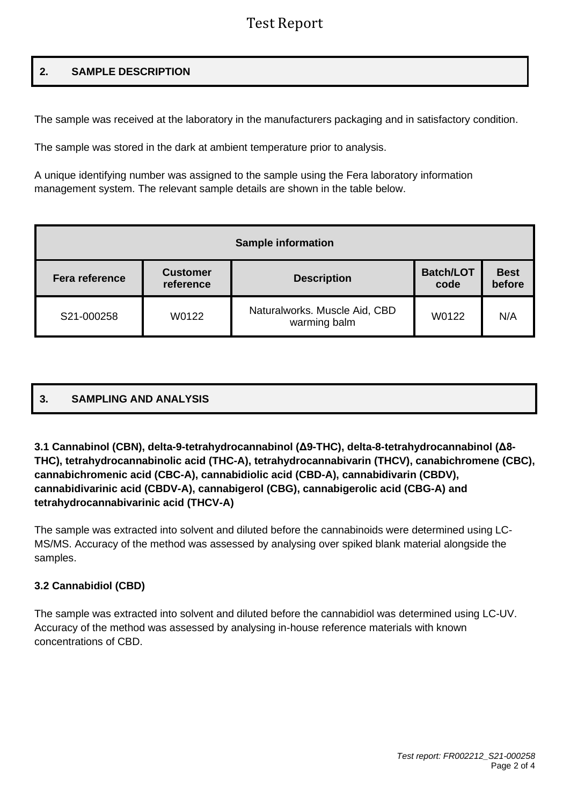# Test Report

### **2. SAMPLE DESCRIPTION**

The sample was received at the laboratory in the manufacturers packaging and in satisfactory condition.

The sample was stored in the dark at ambient temperature prior to analysis.

A unique identifying number was assigned to the sample using the Fera laboratory information management system. The relevant sample details are shown in the table below.

| <b>Sample information</b> |                              |                                               |                          |                       |  |  |  |  |  |
|---------------------------|------------------------------|-----------------------------------------------|--------------------------|-----------------------|--|--|--|--|--|
| <b>Fera reference</b>     | <b>Customer</b><br>reference | <b>Description</b>                            | <b>Batch/LOT</b><br>code | <b>Best</b><br>before |  |  |  |  |  |
| S21-000258                | W0122                        | Naturalworks. Muscle Aid, CBD<br>warming balm | W0122                    | N/A                   |  |  |  |  |  |

|--|

#### **3.1 Cannabinol (CBN), delta-9-tetrahydrocannabinol (Δ9-THC), delta-8-tetrahydrocannabinol (Δ8- THC), tetrahydrocannabinolic acid (THC-A), tetrahydrocannabivarin (THCV), canabichromene (CBC), cannabichromenic acid (CBC-A), cannabidiolic acid (CBD-A), cannabidivarin (CBDV), cannabidivarinic acid (CBDV-A), cannabigerol (CBG), cannabigerolic acid (CBG-A) and tetrahydrocannabivarinic acid (THCV-A)**

The sample was extracted into solvent and diluted before the cannabinoids were determined using LC-MS/MS. Accuracy of the method was assessed by analysing over spiked blank material alongside the samples.

#### **3.2 Cannabidiol (CBD)**

The sample was extracted into solvent and diluted before the cannabidiol was determined using LC-UV. Accuracy of the method was assessed by analysing in-house reference materials with known concentrations of CBD.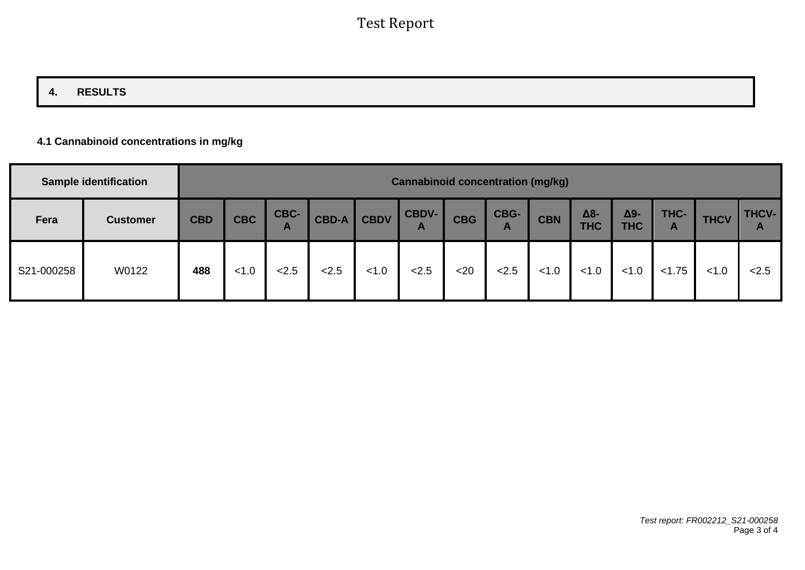## **4. RESULTS**

### **4.1 Cannabinoid concentrations in mg/kg**

|            | <b>Sample identification</b> | <b>Cannabinoid concentration (mg/kg)</b> |            |           |              |             |                       |            |           |            |                   |                   |           |             |                       |
|------------|------------------------------|------------------------------------------|------------|-----------|--------------|-------------|-----------------------|------------|-----------|------------|-------------------|-------------------|-----------|-------------|-----------------------|
| Fera       | <b>Customer</b>              | <b>CBD</b>                               | <b>CBC</b> | CBC-<br>A | <b>CBD-A</b> | <b>CBDV</b> | CBDV-<br>$\mathbf{A}$ | <b>CBG</b> | CBG-<br>A | <b>CBN</b> | Δ8-<br><b>THC</b> | Δ9-<br><b>THC</b> | THC-<br>A | <b>THCV</b> | THCV-<br>$\mathbf{A}$ |
| S21-000258 | W0122                        | 488                                      | 1.0        | 2.5       | 2.5          | < 1.0       | 2.5                   | $20$       | 2.5       | < 1.0      | < 1.0             | < 1.0             | < 1.75    | < 1.0       | 2.5                   |